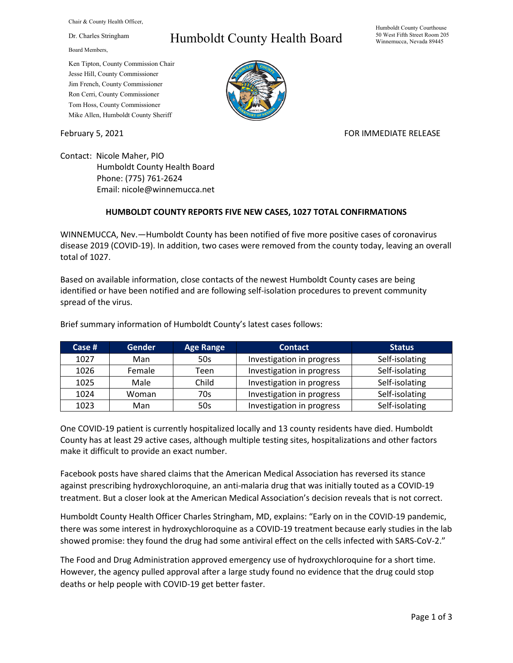Chair & County Health Officer,

Dr. Charles Stringham

Board Members,

## Ken Tipton, County Commission Chair Jesse Hill, County Commissioner Jim French, County Commissioner Ron Cerri, County Commissioner Tom Hoss, County Commissioner Mike Allen, Humboldt County Sheriff

## Humboldt County Health Board



## February 5, 2021 **FOR IMMEDIATE RELEASE**

Contact: Nicole Maher, PIO Humboldt County Health Board Phone: (775) 761-2624 Email: nicole@winnemucca.net

## **HUMBOLDT COUNTY REPORTS FIVE NEW CASES, 1027 TOTAL CONFIRMATIONS**

WINNEMUCCA, Nev.—Humboldt County has been notified of five more positive cases of coronavirus disease 2019 (COVID-19). In addition, two cases were removed from the county today, leaving an overall total of 1027.

Based on available information, close contacts of the newest Humboldt County cases are being identified or have been notified and are following self-isolation procedures to prevent community spread of the virus.

| Case $#$ | <b>Gender</b> | <b>Age Range</b> | <b>Contact</b>            | <b>Status</b>  |
|----------|---------------|------------------|---------------------------|----------------|
| 1027     | Man           | 50s              | Investigation in progress | Self-isolating |
| 1026     | Female        | Teen             | Investigation in progress | Self-isolating |
| 1025     | Male          | Child            | Investigation in progress | Self-isolating |
| 1024     | Woman         | 70s              | Investigation in progress | Self-isolating |
| 1023     | Man           | 50s              | Investigation in progress | Self-isolating |

Brief summary information of Humboldt County's latest cases follows:

One COVID-19 patient is currently hospitalized locally and 13 county residents have died. Humboldt County has at least 29 active cases, although multiple testing sites, hospitalizations and other factors make it difficult to provide an exact number.

Facebook posts have shared claims that the American Medical Association has reversed its stance against prescribing hydroxychloroquine, an anti-malaria drug that was initially touted as a COVID-19 treatment. But a closer look at the American Medical Association's decision reveals that is not correct.

Humboldt County Health Officer Charles Stringham, MD, explains: "Early on in the COVID-19 pandemic, there was some interest in hydroxychloroquine as a COVID-19 treatment because early studies in the lab showed promise: they found the drug had some antiviral effect on the cells infected with SARS-CoV-2."

The Food and Drug Administration approved emergency use of hydroxychloroquine for a short time. However, the agency pulled approval after a large study found no evidence that the drug could stop deaths or help people with COVID-19 get better faster.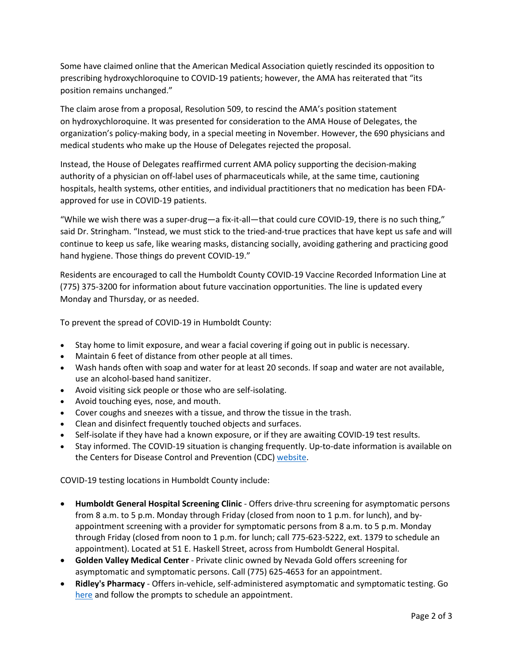Some have claimed online that the American Medical Association quietly rescinded its opposition to prescribing hydroxychloroquine to COVID-19 patients; however, the AMA has reiterated that "its position remains unchanged."

The claim arose from a proposal, Resolution 509, to rescind the AMA's position statement on hydroxychloroquine. It was presented for consideration to the AMA House of Delegates, the organization's policy-making body, in a special meeting in November. However, the 690 physicians and medical students who make up the House of Delegates rejected the proposal.

Instead, the House of Delegates reaffirmed current AMA policy supporting the decision-making authority of a physician on off-label uses of pharmaceuticals while, at the same time, cautioning hospitals, health systems, other entities, and individual practitioners that no medication has been FDAapproved for use in COVID-19 patients.

"While we wish there was a super-drug—a fix-it-all—that could cure COVID-19, there is no such thing," said Dr. Stringham. "Instead, we must stick to the tried-and-true practices that have kept us safe and will continue to keep us safe, like wearing masks, distancing socially, avoiding gathering and practicing good hand hygiene. Those things do prevent COVID-19."

Residents are encouraged to call the Humboldt County COVID-19 Vaccine Recorded Information Line at (775) 375-3200 for information about future vaccination opportunities. The line is updated every Monday and Thursday, or as needed.

To prevent the spread of COVID-19 in Humboldt County:

- Stay home to limit exposure, and wear a facial covering if going out in public is necessary.
- Maintain 6 feet of distance from other people at all times.
- Wash hands often with soap and water for at least 20 seconds. If soap and water are not available, use an alcohol-based hand sanitizer.
- Avoid visiting sick people or those who are self-isolating.
- Avoid touching eyes, nose, and mouth.
- Cover coughs and sneezes with a tissue, and throw the tissue in the trash.
- Clean and disinfect frequently touched objects and surfaces.
- Self-isolate if they have had a known exposure, or if they are awaiting COVID-19 test results.
- Stay informed. The COVID-19 situation is changing frequently. Up-to-date information is available on the Centers for Disease Control and Prevention (CDC) [website.](http://www.cdc.gov/coronavirus/2019-ncov/index.html)

COVID-19 testing locations in Humboldt County include:

- **Humboldt General Hospital Screening Clinic** Offers drive-thru screening for asymptomatic persons from 8 a.m. to 5 p.m. Monday through Friday (closed from noon to 1 p.m. for lunch), and byappointment screening with a provider for symptomatic persons from 8 a.m. to 5 p.m. Monday through Friday (closed from noon to 1 p.m. for lunch; call 775-623-5222, ext. 1379 to schedule an appointment). Located at 51 E. Haskell Street, across from Humboldt General Hospital.
- **Golden Valley Medical Center** Private clinic owned by Nevada Gold offers screening for asymptomatic and symptomatic persons. Call (775) 625-4653 for an appointment.
- **Ridley's Pharmacy** Offers in-vehicle, self-administered asymptomatic and symptomatic testing. Go [here](https://www.doineedacovid19test.com/Winnemucca_NV_1098.html) and follow the prompts to schedule an appointment.